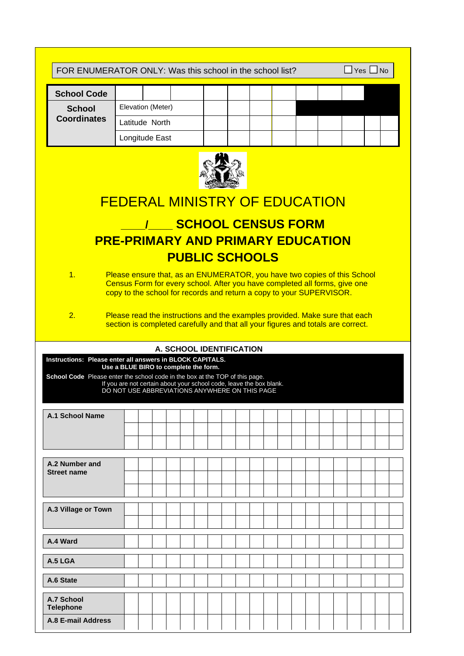| FOR ENUMERATOR ONLY: Was this school in the school list?<br>$\Box$ Yes $\Box$ No                                                                 |                                                                                                                                                                                                                                                                                                                                                                                            |  |  |                          |  |  |  |  |  |  |  |                             |  |  |  |  |  |
|--------------------------------------------------------------------------------------------------------------------------------------------------|--------------------------------------------------------------------------------------------------------------------------------------------------------------------------------------------------------------------------------------------------------------------------------------------------------------------------------------------------------------------------------------------|--|--|--------------------------|--|--|--|--|--|--|--|-----------------------------|--|--|--|--|--|
| <b>School Code</b>                                                                                                                               |                                                                                                                                                                                                                                                                                                                                                                                            |  |  |                          |  |  |  |  |  |  |  |                             |  |  |  |  |  |
| Elevation (Meter)<br><b>School</b>                                                                                                               |                                                                                                                                                                                                                                                                                                                                                                                            |  |  |                          |  |  |  |  |  |  |  |                             |  |  |  |  |  |
| <b>Coordinates</b>                                                                                                                               | Latitude North                                                                                                                                                                                                                                                                                                                                                                             |  |  |                          |  |  |  |  |  |  |  |                             |  |  |  |  |  |
|                                                                                                                                                  | Longitude East                                                                                                                                                                                                                                                                                                                                                                             |  |  |                          |  |  |  |  |  |  |  |                             |  |  |  |  |  |
| 1.<br>2.                                                                                                                                         | FEDERAL MINISTRY OF EDUCATION<br><b>PRE-PRIMARY AND PRIMARY EDUCATION</b><br>Please ensure that, as an ENUMERATOR, you have two copies of this School<br>Census Form for every school. After you have completed all forms, give one<br>copy to the school for records and return a copy to your SUPERVISOR.<br>Please read the instructions and the examples provided. Make sure that each |  |  | <b>PUBLIC SCHOOLS</b>    |  |  |  |  |  |  |  | <b>/ SCHOOL CENSUS FORM</b> |  |  |  |  |  |
| <b>Instructions: Please enter all answers in BLOCK CAPITALS.</b><br>School Code Please enter the school code in the box at the TOP of this page. | Use a BLUE BIRO to complete the form.<br>If you are not certain about your school code, leave the box blank.<br>DO NOT USE ABBREVIATIONS ANYWHERE ON THIS PAGE                                                                                                                                                                                                                             |  |  | A. SCHOOL IDENTIFICATION |  |  |  |  |  |  |  |                             |  |  |  |  |  |
| <b>A.1 School Name</b>                                                                                                                           |                                                                                                                                                                                                                                                                                                                                                                                            |  |  |                          |  |  |  |  |  |  |  |                             |  |  |  |  |  |
| A.2 Number and<br><b>Street name</b>                                                                                                             |                                                                                                                                                                                                                                                                                                                                                                                            |  |  |                          |  |  |  |  |  |  |  |                             |  |  |  |  |  |
| A.3 Village or Town                                                                                                                              |                                                                                                                                                                                                                                                                                                                                                                                            |  |  |                          |  |  |  |  |  |  |  |                             |  |  |  |  |  |
| A.4 Ward                                                                                                                                         |                                                                                                                                                                                                                                                                                                                                                                                            |  |  |                          |  |  |  |  |  |  |  |                             |  |  |  |  |  |
| A.5 LGA                                                                                                                                          |                                                                                                                                                                                                                                                                                                                                                                                            |  |  |                          |  |  |  |  |  |  |  |                             |  |  |  |  |  |
|                                                                                                                                                  |                                                                                                                                                                                                                                                                                                                                                                                            |  |  |                          |  |  |  |  |  |  |  |                             |  |  |  |  |  |
| A.6 State                                                                                                                                        |                                                                                                                                                                                                                                                                                                                                                                                            |  |  |                          |  |  |  |  |  |  |  |                             |  |  |  |  |  |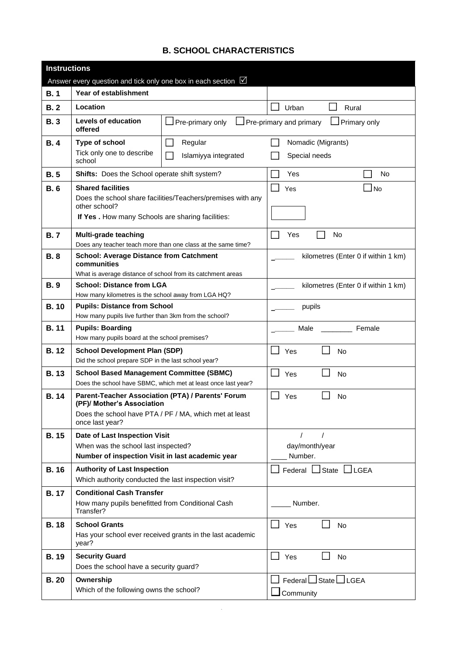## **B. SCHOOL CHARACTERISTICS**

| <b>Instructions</b> |                                                                                               |                                                               |                                         |
|---------------------|-----------------------------------------------------------------------------------------------|---------------------------------------------------------------|-----------------------------------------|
|                     | Answer every question and tick only one box in each section $\boxed{\triangledown}$           |                                                               |                                         |
| B.1                 | Year of establishment                                                                         |                                                               |                                         |
| B.2                 | Location                                                                                      |                                                               | Urban<br>Rural                          |
| <b>B.3</b>          | <b>Levels of education</b><br>offered                                                         | $\Box$ Pre-primary only                                       | Pre-primary and primary<br>Primary only |
| B.4                 | Type of school                                                                                | Regular                                                       | Nomadic (Migrants)                      |
|                     | Tick only one to describe<br>school                                                           | Islamiyya integrated                                          | Special needs                           |
| B.5                 | <b>Shifts:</b> Does the School operate shift system?                                          |                                                               | Yes<br>No                               |
| <b>B.6</b>          | <b>Shared facilities</b><br>other school?<br>If Yes. How many Schools are sharing facilities: | Does the school share facilities/Teachers/premises with any   | Yes<br>J No                             |
|                     |                                                                                               |                                                               |                                         |
| <b>B.7</b>          | Multi-grade teaching                                                                          | Does any teacher teach more than one class at the same time?  | No<br>Yes                               |
| <b>B.8</b>          | <b>School: Average Distance from Catchment</b>                                                |                                                               | kilometres (Enter 0 if within 1 km)     |
|                     | communities<br>What is average distance of school from its catchment areas                    |                                                               |                                         |
| <b>B.9</b>          | <b>School: Distance from LGA</b>                                                              |                                                               | kilometres (Enter 0 if within 1 km)     |
|                     | How many kilometres is the school away from LGA HQ?                                           |                                                               |                                         |
| <b>B.10</b>         | <b>Pupils: Distance from School</b>                                                           |                                                               | pupils                                  |
|                     | How many pupils live further than 3km from the school?                                        |                                                               |                                         |
| <b>B.11</b>         | <b>Pupils: Boarding</b><br>How many pupils board at the school premises?                      |                                                               | Female<br>Male                          |
| <b>B.12</b>         | <b>School Development Plan (SDP)</b>                                                          |                                                               | Yes<br><b>No</b>                        |
|                     | Did the school prepare SDP in the last school year?                                           |                                                               |                                         |
| <b>B.13</b>         | <b>School Based Management Committee (SBMC)</b>                                               |                                                               | Yes<br>No                               |
|                     |                                                                                               | Does the school have SBMC, which met at least once last year? |                                         |
| <b>B.14</b>         | (PF)/ Mother's Association                                                                    | Parent-Teacher Association (PTA) / Parents' Forum             | Yes<br>No                               |
|                     | once last year?                                                                               | Does the school have PTA / PF / MA, which met at least        |                                         |
| <b>B.15</b>         | Date of Last Inspection Visit                                                                 |                                                               | $\prime$<br>$\prime$                    |
|                     | When was the school last inspected?                                                           |                                                               | day/month/year                          |
|                     | Number of inspection Visit in last academic year                                              |                                                               | Number.                                 |
| <b>B.16</b>         | <b>Authority of Last Inspection</b><br>Which authority conducted the last inspection visit?   |                                                               | Federal □ State □ LGEA                  |
| <b>B.17</b>         | <b>Conditional Cash Transfer</b>                                                              |                                                               |                                         |
|                     | How many pupils benefitted from Conditional Cash<br>Transfer?                                 |                                                               | Number.                                 |
| <b>B.18</b>         | <b>School Grants</b><br>year?                                                                 | Has your school ever received grants in the last academic     | Yes<br><b>No</b>                        |
| <b>B.19</b>         | <b>Security Guard</b><br>Does the school have a security guard?                               |                                                               | <b>No</b><br>H<br>Yes                   |
| <b>B.20</b>         | Ownership                                                                                     |                                                               | Federal $\Box$ State $\Box$ LGEA        |
|                     | Which of the following owns the school?                                                       |                                                               | $\Box$ Community                        |
|                     |                                                                                               |                                                               |                                         |

**B.**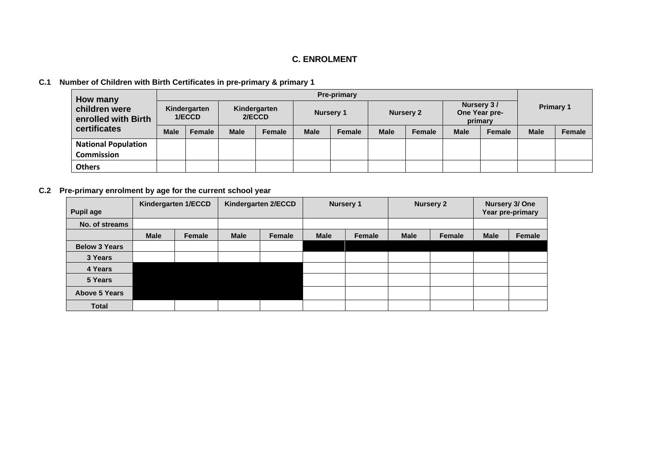## **C. ENROLMENT**

## **C.1 Number of Children with Birth Certificates in pre-primary & primary 1**

| How many                             |             |                        |                        |               |             | <b>Pre-primary</b> |             |                  |             |                                        |                  |               |  |
|--------------------------------------|-------------|------------------------|------------------------|---------------|-------------|--------------------|-------------|------------------|-------------|----------------------------------------|------------------|---------------|--|
| children were<br>enrolled with Birth |             | Kindergarten<br>1/ECCD | Kindergarten<br>2/ECCD |               |             | <b>Nursery 1</b>   |             | <b>Nursery 2</b> |             | Nursery 3/<br>One Year pre-<br>primary | <b>Primary 1</b> |               |  |
| certificates                         | <b>Male</b> | <b>Female</b>          | <b>Male</b>            | <b>Female</b> | <b>Male</b> | Female             | <b>Male</b> | Female           | <b>Male</b> | <b>Female</b>                          | <b>Male</b>      | <b>Female</b> |  |
| <b>National Population</b>           |             |                        |                        |               |             |                    |             |                  |             |                                        |                  |               |  |
| Commission                           |             |                        |                        |               |             |                    |             |                  |             |                                        |                  |               |  |
| <b>Others</b>                        |             |                        |                        |               |             |                    |             |                  |             |                                        |                  |               |  |

## **C.2 Pre-primary enrolment by age for the current school year**

| <b>Pupil age</b>     |             | Kindergarten 1/ECCD |             | Kindergarten 2/ECCD |             | <b>Nursery 1</b> |             | <b>Nursery 2</b> | Nursery 3/ One<br>Year pre-primary |        |  |
|----------------------|-------------|---------------------|-------------|---------------------|-------------|------------------|-------------|------------------|------------------------------------|--------|--|
| No. of streams       |             |                     |             |                     |             |                  |             |                  |                                    |        |  |
|                      | <b>Male</b> | Female              | <b>Male</b> | Female              | <b>Male</b> | Female           | <b>Male</b> | Female           | <b>Male</b>                        | Female |  |
| <b>Below 3 Years</b> |             |                     |             |                     |             |                  |             |                  |                                    |        |  |
| 3 Years              |             |                     |             |                     |             |                  |             |                  |                                    |        |  |
| 4 Years              |             |                     |             |                     |             |                  |             |                  |                                    |        |  |
| 5 Years              |             |                     |             |                     |             |                  |             |                  |                                    |        |  |
| <b>Above 5 Years</b> |             |                     |             |                     |             |                  |             |                  |                                    |        |  |
| <b>Total</b>         |             |                     |             |                     |             |                  |             |                  |                                    |        |  |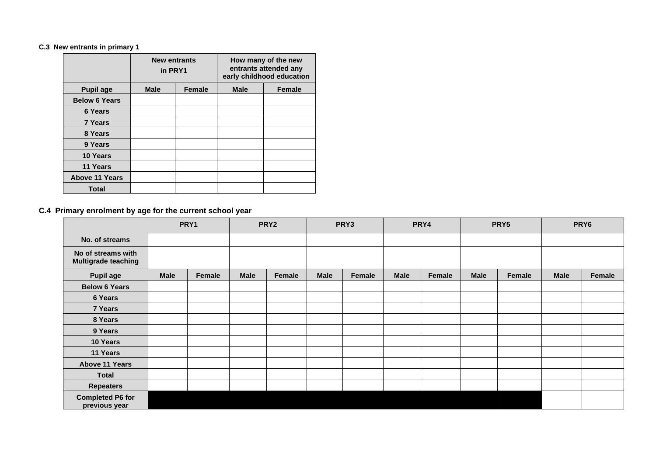### **C.3 New entrants in primary 1**

|                       | <b>New entrants</b><br>in PRY1 |               |             | How many of the new<br>entrants attended any<br>early childhood education |
|-----------------------|--------------------------------|---------------|-------------|---------------------------------------------------------------------------|
| <b>Pupil age</b>      | <b>Male</b>                    | <b>Female</b> | <b>Male</b> | <b>Female</b>                                                             |
| <b>Below 6 Years</b>  |                                |               |             |                                                                           |
| <b>6 Years</b>        |                                |               |             |                                                                           |
| <b>7 Years</b>        |                                |               |             |                                                                           |
| 8 Years               |                                |               |             |                                                                           |
| 9 Years               |                                |               |             |                                                                           |
| 10 Years              |                                |               |             |                                                                           |
| 11 Years              |                                |               |             |                                                                           |
| <b>Above 11 Years</b> |                                |               |             |                                                                           |
| <b>Total</b>          |                                |               |             |                                                                           |

## **C.4 Primary enrolment by age for the current school year**

|                                                  | PRY1                  |  | PRY <sub>2</sub> |        | PRY3        |        |             | PRY4   |             | PRY5   |             | PRY6   |
|--------------------------------------------------|-----------------------|--|------------------|--------|-------------|--------|-------------|--------|-------------|--------|-------------|--------|
| No. of streams                                   |                       |  |                  |        |             |        |             |        |             |        |             |        |
| No of streams with<br><b>Multigrade teaching</b> | <b>Male</b><br>Female |  |                  |        |             |        |             |        |             |        |             |        |
| <b>Pupil age</b>                                 |                       |  | <b>Male</b>      | Female | <b>Male</b> | Female | <b>Male</b> | Female | <b>Male</b> | Female | <b>Male</b> | Female |
| <b>Below 6 Years</b>                             |                       |  |                  |        |             |        |             |        |             |        |             |        |
| 6 Years                                          |                       |  |                  |        |             |        |             |        |             |        |             |        |
| 7 Years                                          |                       |  |                  |        |             |        |             |        |             |        |             |        |
| 8 Years                                          |                       |  |                  |        |             |        |             |        |             |        |             |        |
| 9 Years                                          |                       |  |                  |        |             |        |             |        |             |        |             |        |
| 10 Years                                         |                       |  |                  |        |             |        |             |        |             |        |             |        |
| 11 Years                                         |                       |  |                  |        |             |        |             |        |             |        |             |        |
| Above 11 Years                                   |                       |  |                  |        |             |        |             |        |             |        |             |        |
| <b>Total</b>                                     |                       |  |                  |        |             |        |             |        |             |        |             |        |
| <b>Repeaters</b>                                 |                       |  |                  |        |             |        |             |        |             |        |             |        |
| <b>Completed P6 for</b><br>previous year         |                       |  |                  |        |             |        |             |        |             |        |             |        |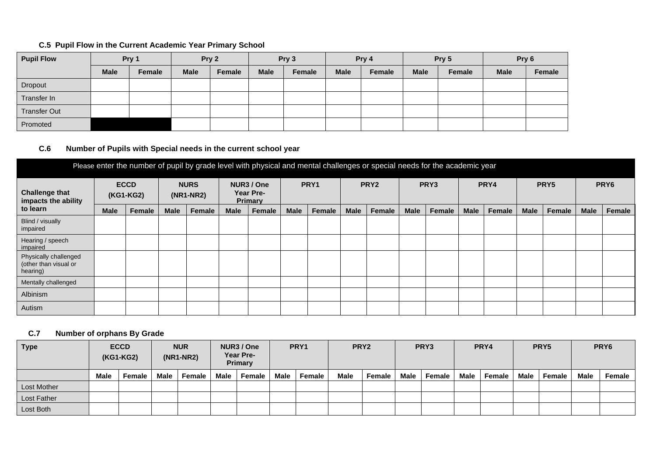## **C.5 Pupil Flow in the Current Academic Year Primary School**

| <b>Pupil Flow</b>   | Pry 1                 |  | Pry 2       |        | Pry 3       |        | Pry 4       |        |             | Pry 5         | Pry 6       |        |  |
|---------------------|-----------------------|--|-------------|--------|-------------|--------|-------------|--------|-------------|---------------|-------------|--------|--|
|                     | <b>Male</b><br>Female |  | <b>Male</b> | Female | <b>Male</b> | Female | <b>Male</b> | Female | <b>Male</b> | <b>Female</b> | <b>Male</b> | Female |  |
| Dropout             |                       |  |             |        |             |        |             |        |             |               |             |        |  |
| Transfer In         |                       |  |             |        |             |        |             |        |             |               |             |        |  |
| <b>Transfer Out</b> |                       |  |             |        |             |        |             |        |             |               |             |        |  |
| Promoted            |                       |  |             |        |             |        |             |        |             |               |             |        |  |

### **C.6 Number of Pupils with Special needs in the current school year**

| Please enter the number of pupil by grade level with physical and mental challenges or special needs for the academic year |             |           |             |                            |             |                                           |             |                  |             |                  |             |                  |             |        |             |        |             |                  |
|----------------------------------------------------------------------------------------------------------------------------|-------------|-----------|-------------|----------------------------|-------------|-------------------------------------------|-------------|------------------|-------------|------------------|-------------|------------------|-------------|--------|-------------|--------|-------------|------------------|
| <b>Challenge that</b><br>impacts the ability                                                                               | <b>ECCD</b> | (KG1-KG2) |             | <b>NURS</b><br>$(NR1-NR2)$ |             | NUR3 / One<br>Year Pre-<br><b>Primary</b> |             | PRY <sub>1</sub> |             | PRY <sub>2</sub> |             | PRY <sub>3</sub> |             | PRY4   |             | PRY5   |             | PRY <sub>6</sub> |
| to learn                                                                                                                   | <b>Male</b> | Female    | <b>Male</b> | Female                     | <b>Male</b> | Female                                    | <b>Male</b> | Female           | <b>Male</b> | Female           | <b>Male</b> | Female           | <b>Male</b> | Female | <b>Male</b> | Female | <b>Male</b> | Female           |
| Blind / visually<br>impaired                                                                                               |             |           |             |                            |             |                                           |             |                  |             |                  |             |                  |             |        |             |        |             |                  |
| Hearing / speech<br>impaired                                                                                               |             |           |             |                            |             |                                           |             |                  |             |                  |             |                  |             |        |             |        |             |                  |
| Physically challenged<br>(other than visual or<br>hearing)                                                                 |             |           |             |                            |             |                                           |             |                  |             |                  |             |                  |             |        |             |        |             |                  |
| Mentally challenged                                                                                                        |             |           |             |                            |             |                                           |             |                  |             |                  |             |                  |             |        |             |        |             |                  |
| Albinism                                                                                                                   |             |           |             |                            |             |                                           |             |                  |             |                  |             |                  |             |        |             |        |             |                  |
| Autism                                                                                                                     |             |           |             |                            |             |                                           |             |                  |             |                  |             |                  |             |        |             |        |             |                  |

## **C.7 Number of orphans By Grade**

| <b>Type</b> |      | <b>ECCD</b><br>(KG1-KG2) |      | <b>NUR</b><br>$(NR1-NR2)$ |      | NUR3 / One<br>Year Pre-<br><b>Primary</b> |      | PRY1   | PRY <sub>2</sub> |        |      | PRY3   |      | PRY4   |      | PRY5   |      | PRY <sub>6</sub> |
|-------------|------|--------------------------|------|---------------------------|------|-------------------------------------------|------|--------|------------------|--------|------|--------|------|--------|------|--------|------|------------------|
|             | Male | Female                   | Male | Female                    | Male | Female                                    | Male | Female | Male             | Female | Male | Female | Male | Female | Male | Female | Male | Female           |
| Lost Mother |      |                          |      |                           |      |                                           |      |        |                  |        |      |        |      |        |      |        |      |                  |
| Lost Father |      |                          |      |                           |      |                                           |      |        |                  |        |      |        |      |        |      |        |      |                  |
| Lost Both   |      |                          |      |                           |      |                                           |      |        |                  |        |      |        |      |        |      |        |      |                  |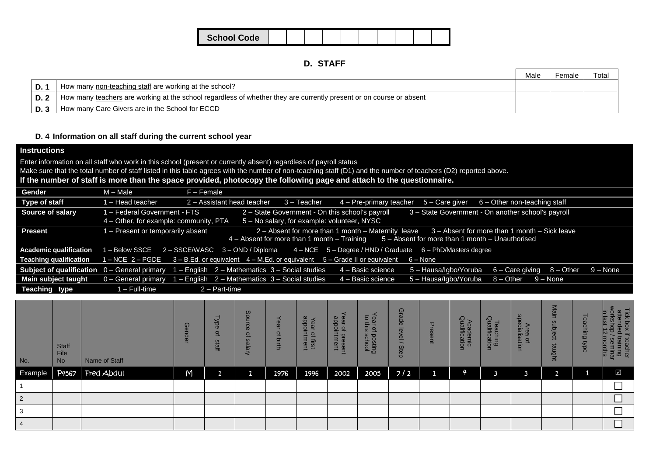| <b>School Code</b> |  |  |  |  |  |
|--------------------|--|--|--|--|--|

|      |                                                                                                                     | Male | Female | Total |
|------|---------------------------------------------------------------------------------------------------------------------|------|--------|-------|
| D.   | How many non-teaching staff are working at the school?                                                              |      |        |       |
| D. 2 | How many teachers are working at the school regardless of whether they are currently present or on course or absent |      |        |       |
| D. 3 | How many Care Givers are in the School for ECCD                                                                     |      |        |       |

### **D. 4 Information on all staff during the current school year**

## **Instructions**

Enter information on all staff who work in this school (present or currently absent) regardless of payroll status

Make sure that the total number of staff listed in this table agrees with the number of non-teaching staff (D1) and the number of teachers (D2) reported above.

**If the number of staff is more than the space provided, photocopy the following page and attach to the questionnaire.**

| Gender                                                | M – Male                               | F – Female                                                                                                                               |
|-------------------------------------------------------|----------------------------------------|------------------------------------------------------------------------------------------------------------------------------------------|
| Type of staff                                         | - Head teacher                         | $3 - Teacher$<br>2 - Assistant head teacher<br>$4 -$ Pre-primary teacher $5 -$ Care giver<br>6 – Other non-teaching staff                |
| <b>Source of salary</b>                               | 1 – Federal Government - FTS           | 2 - State Government - On this school's payroll<br>3 - State Government - On another school's payroll                                    |
|                                                       | 4 – Other, for example: community, PTA | 5 - No salary, for example: volunteer, NYSC                                                                                              |
| <b>Present</b>                                        | 1 - Present or temporarily absent      | 2 – Absent for more than 1 month – Maternity leave 3 – Absent for more than 1 month – Sick leave                                         |
|                                                       |                                        | $4 -$ Absent for more than 1 month $-$ Training $5 -$ Absent for more than 1 month $-$ Unauthorised                                      |
| <b>Academic qualification</b>                         | I - Below SSCE                         | $2 - SSCEWASC$ $3 - OND/Diploma$ $4 - NCE$ $5 - Degree/HND/Graduate$ $6 - PhD/Masters$ degree                                            |
| <b>Teaching qualification</b>                         | 1 – NCE 2 – PGDE                       | $3 - B.Ed$ or equivalent $4 - M.Ed$ or equivalent $5 - Gr$ and all or equivalent $6 - N$                                                 |
| <b>Subject of qualification</b> $0 -$ General primary |                                        | 1 - English 2 - Mathematics 3 - Social studies<br>4 - Basic science<br>$5 -$ Hausa/Igbo/Yoruba $6 -$ Care giving $8 -$ Other<br>9 – None |
| Main subject taught                                   | 0 - General primary                    | $1 -$ English $2 -$ Mathematics $3 -$ Social studies<br>4 - Basic science<br>5 - Hausa/Igbo/Yoruba 8 - Other 9 - None                    |
| Teaching type                                         | 1 – Full-time                          | 2 - Part-time                                                                                                                            |
|                                                       |                                        |                                                                                                                                          |

| No.     | <b>Staff</b><br>File<br><b>No</b> | Name of Staff    | $\mathsf{G}$<br>န | <b>Typ</b><br>Φ<br>익<br>staff | Source<br>$\Omega$<br>Salary | ear<br><b>Q</b><br>birth | appointment<br>Year<br>$\overline{a}$<br>lirst | ear of presen<br>appointment | $\vec{\sigma}$ $\vec{\sigma}$<br>$\frac{1}{2}$ of<br>posting<br>school | Grade<br>level<br>Step | Δ<br><b>resent</b> | Academic<br>Qualification | Teaching<br>Qualification | Area of<br>specialisation | Main<br>ρs<br>Jbject<br>taught | $\Phi$<br>$\tilde{\omega}$<br><b>uchin</b><br>$\bar{\mathbf{Q}}$<br>マ<br>ರ | Tick box if<br>attended t<br>orks<br>P<br>$\sigma$<br>Е<br>35<br>f teacher<br>training<br>/ seminar<br>pronths |
|---------|-----------------------------------|------------------|-------------------|-------------------------------|------------------------------|--------------------------|------------------------------------------------|------------------------------|------------------------------------------------------------------------|------------------------|--------------------|---------------------------|---------------------------|---------------------------|--------------------------------|----------------------------------------------------------------------------|----------------------------------------------------------------------------------------------------------------|
| Example |                                   | P4567 Fred Abdul | M                 | r.                            | я<br>Ŧ                       | 1976                     | 1996                                           | 2002                         | 2005                                                                   | $7/2$                  | $\mathbf{1}$       | 4                         | 3                         |                           | и                              |                                                                            | $\overline{\mathsf{M}}$                                                                                        |
|         |                                   |                  |                   |                               |                              |                          |                                                |                              |                                                                        |                        |                    |                           |                           |                           |                                |                                                                            |                                                                                                                |
| 2       |                                   |                  |                   |                               |                              |                          |                                                |                              |                                                                        |                        |                    |                           |                           |                           |                                |                                                                            |                                                                                                                |
| 3       |                                   |                  |                   |                               |                              |                          |                                                |                              |                                                                        |                        |                    |                           |                           |                           |                                |                                                                            |                                                                                                                |
|         |                                   |                  |                   |                               |                              |                          |                                                |                              |                                                                        |                        |                    |                           |                           |                           |                                |                                                                            | ▭                                                                                                              |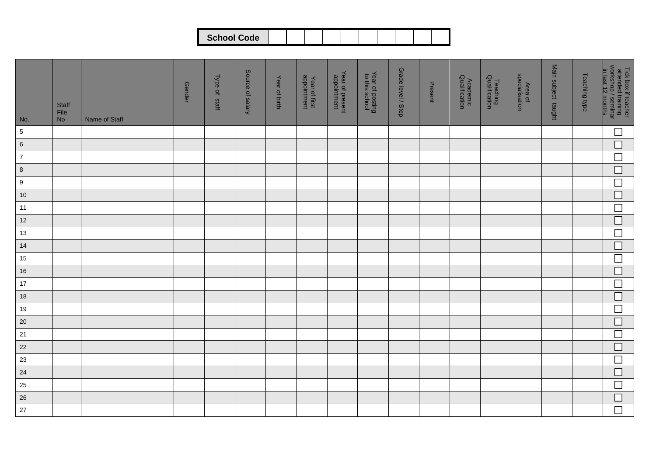|--|

| No.              | Staff<br>File<br>No | Name of Staff | <b>Gender</b> | Type of staff | Source of salary | Year of birth | Year of first<br>appointment | Year of present<br>appointment | Year of posting<br>to this school | Grade level / Step | Present | Academic<br>Qualification | Teaching<br>Qualification | Area of<br>specialisation | Main subject taught | Teaching type | Tick box if teacher<br>attended training<br>workshop / seminar<br>in last 12 months. |
|------------------|---------------------|---------------|---------------|---------------|------------------|---------------|------------------------------|--------------------------------|-----------------------------------|--------------------|---------|---------------------------|---------------------------|---------------------------|---------------------|---------------|--------------------------------------------------------------------------------------|
| $5\phantom{.0}$  |                     |               |               |               |                  |               |                              |                                |                                   |                    |         |                           |                           |                           |                     |               | $\Box$                                                                               |
| $\,6\,$          |                     |               |               |               |                  |               |                              |                                |                                   |                    |         |                           |                           |                           |                     |               | $\overline{\Box}$                                                                    |
| $\overline{7}$   |                     |               |               |               |                  |               |                              |                                |                                   |                    |         |                           |                           |                           |                     |               | $\Box$                                                                               |
| $\bf8$           |                     |               |               |               |                  |               |                              |                                |                                   |                    |         |                           |                           |                           |                     |               | $\overline{\Box}$                                                                    |
| $\boldsymbol{9}$ |                     |               |               |               |                  |               |                              |                                |                                   |                    |         |                           |                           |                           |                     |               | $\Box$                                                                               |
| $10$             |                     |               |               |               |                  |               |                              |                                |                                   |                    |         |                           |                           |                           |                     |               | $\Box$                                                                               |
| 11               |                     |               |               |               |                  |               |                              |                                |                                   |                    |         |                           |                           |                           |                     |               | $\Box$                                                                               |
| $12$             |                     |               |               |               |                  |               |                              |                                |                                   |                    |         |                           |                           |                           |                     |               | $\Box$                                                                               |
| 13               |                     |               |               |               |                  |               |                              |                                |                                   |                    |         |                           |                           |                           |                     |               | $\Box$                                                                               |
| 14               |                     |               |               |               |                  |               |                              |                                |                                   |                    |         |                           |                           |                           |                     |               | $\overline{\square}$                                                                 |
| 15               |                     |               |               |               |                  |               |                              |                                |                                   |                    |         |                           |                           |                           |                     |               | $\Box$                                                                               |
| $16$             |                     |               |               |               |                  |               |                              |                                |                                   |                    |         |                           |                           |                           |                     |               | $\Box$                                                                               |
| $17$             |                     |               |               |               |                  |               |                              |                                |                                   |                    |         |                           |                           |                           |                     |               | $\Box$                                                                               |
| $18$             |                     |               |               |               |                  |               |                              |                                |                                   |                    |         |                           |                           |                           |                     |               | $\Box$                                                                               |
| 19               |                     |               |               |               |                  |               |                              |                                |                                   |                    |         |                           |                           |                           |                     |               | $\Box$                                                                               |
| $20\,$           |                     |               |               |               |                  |               |                              |                                |                                   |                    |         |                           |                           |                           |                     |               | $\Box$                                                                               |
| $21$             |                     |               |               |               |                  |               |                              |                                |                                   |                    |         |                           |                           |                           |                     |               | $\Box$                                                                               |
| 22               |                     |               |               |               |                  |               |                              |                                |                                   |                    |         |                           |                           |                           |                     |               | $\Box$                                                                               |
| 23               |                     |               |               |               |                  |               |                              |                                |                                   |                    |         |                           |                           |                           |                     |               | $\Box$                                                                               |
| 24               |                     |               |               |               |                  |               |                              |                                |                                   |                    |         |                           |                           |                           |                     |               | $\Box$                                                                               |
| 25               |                     |               |               |               |                  |               |                              |                                |                                   |                    |         |                           |                           |                           |                     |               | $\Box$                                                                               |
| 26               |                     |               |               |               |                  |               |                              |                                |                                   |                    |         |                           |                           |                           |                     |               | $\overline{\square}$                                                                 |
| $27\,$           |                     |               |               |               |                  |               |                              |                                |                                   |                    |         |                           |                           |                           |                     |               | $\Box$                                                                               |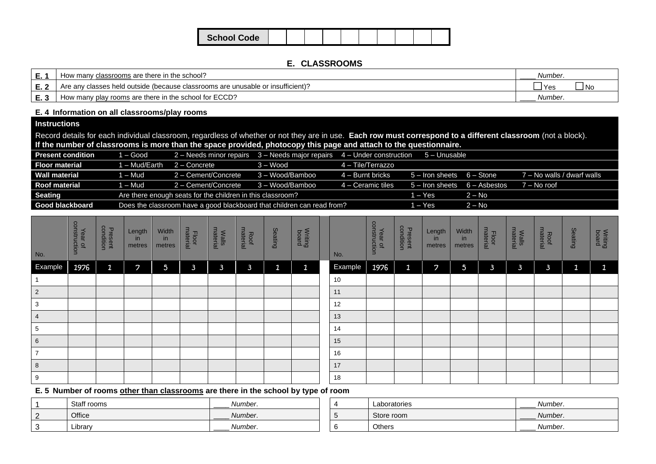| <b>School Code</b> |  |  |  |  |  |
|--------------------|--|--|--|--|--|

### **E. CLASSROOMS**

| E.<br>. .       | classrooms are there in the school?<br>manv                                     | Number.                |
|-----------------|---------------------------------------------------------------------------------|------------------------|
| <u>е с</u><br>. | Are any classes held outside (because classrooms are unusable or insufficient)? | _<br>l No<br>ישו<br>__ |
| r 0<br>- ∪      | v rooms are there in the school for ECCD?<br>How many play r                    | Number.                |

### **E. 4 Information on all classrooms/play rooms**

## **Instructions**

Record details for each individual classroom, regardless of whether or not they are in use. **Each row must correspond to a different classroom** (not a block). **If the number of classrooms is more than the space provided, photocopy this page and attach to the questionnaire.**

| <b>Present condition</b> | $\sqrt{1 - \text{Good}}$ | 2 - Needs minor repairs 3 - Needs major repairs 4 - Under construction |                 |                     | 5 – Unusable                     |          |                            |
|--------------------------|--------------------------|------------------------------------------------------------------------|-----------------|---------------------|----------------------------------|----------|----------------------------|
| <b>Floor material</b>    | 1 – Mud/Earth            | $2 -$ Concrete                                                         | $3 - Wood$      | $4 -$ Tile/Terrazzo |                                  |          |                            |
| <b>Wall material</b>     | 1 – Mud                  | 2 - Cement/Concrete                                                    | 3 – Wood/Bamboo | $4 -$ Burnt bricks  | $5 -$ Iron sheets $6 -$ Stone    |          | 7 – No walls / dwarf walls |
| <b>Roof material</b>     | 1 – Mud                  | 2 – Cement/Concrete                                                    | 3 – Wood/Bamboo | 4 – Ceramic tiles   | $5 -$ Iron sheets $6 -$ Asbestos |          | 7 – No roof                |
| <b>Seating</b>           |                          | Are there enough seats for the children in this classroom?             |                 |                     | l – Yes                          | $2 - No$ |                            |
| <b>Good blackboard</b>   |                          | Does the classroom have a good blackboard that children can read from? |                 |                     | l – Yes                          | $2 - No$ |                            |

| $N$ o.                                           | Year of<br>construction | <b>Present</b><br>condition | Length<br>in<br>metres | Width<br>in<br>metres | Floor<br>material | <b>Walls</b> | Roof<br>material | Seating      | <b>Writing</b> | No.     | Year of<br>construction | <b>Present</b><br>condition | Length<br>in<br>metres | Width<br>in<br>metres   | Floor<br>material | <b>Walls</b><br>material | Roof<br>material | Seating      | <b>Writing</b> |
|--------------------------------------------------|-------------------------|-----------------------------|------------------------|-----------------------|-------------------|--------------|------------------|--------------|----------------|---------|-------------------------|-----------------------------|------------------------|-------------------------|-------------------|--------------------------|------------------|--------------|----------------|
| Example                                          | 1976                    | $\mathbf{1}$                | $\overline{z}$         | $5\phantom{.0}$       | $\mathbf{3}$      | $\mathbf{3}$ | $\overline{3}$   | $\mathbf{1}$ | $\mathbf{1}$   | Example | 1976                    | $\mathfrak 1$               | 7                      | $\overline{\mathbf{5}}$ | $\mathbf{3}$      | $\mathbf{3}$             | $\mathbf{3}$     | $\mathbf{1}$ | $\mathbf{1}$   |
| $\overline{1}$                                   |                         |                             |                        |                       |                   |              |                  |              |                | 10      |                         |                             |                        |                         |                   |                          |                  |              |                |
| $\begin{array}{ c c c }\n\hline\n2\n\end{array}$ |                         |                             |                        |                       |                   |              |                  |              |                | 11      |                         |                             |                        |                         |                   |                          |                  |              |                |
| $\overline{\mathbf{3}}$                          |                         |                             |                        |                       |                   |              |                  |              |                | 12      |                         |                             |                        |                         |                   |                          |                  |              |                |
| $\overline{4}$                                   |                         |                             |                        |                       |                   |              |                  |              |                | 13      |                         |                             |                        |                         |                   |                          |                  |              |                |
| $5\phantom{.0}$                                  |                         |                             |                        |                       |                   |              |                  |              |                | 14      |                         |                             |                        |                         |                   |                          |                  |              |                |
| $\overline{6}$                                   |                         |                             |                        |                       |                   |              |                  |              |                | 15      |                         |                             |                        |                         |                   |                          |                  |              |                |
| $ 7\rangle$                                      |                         |                             |                        |                       |                   |              |                  |              |                | 16      |                         |                             |                        |                         |                   |                          |                  |              |                |
| $\overline{\mathbf{8}}$                          |                         |                             |                        |                       |                   |              |                  |              |                | 17      |                         |                             |                        |                         |                   |                          |                  |              |                |
| 9                                                |                         |                             |                        |                       |                   |              |                  |              |                | 18      |                         |                             |                        |                         |                   |                          |                  |              |                |

## **E. 5 Number of rooms other than classrooms are there in the school by type of room**

|        | Staff rooms | Number.<br>_____ | Laboratories | Number. |
|--------|-------------|------------------|--------------|---------|
| $\sim$ | Office      | Number.          | Store room   | Number. |
|        | Library     | Number.<br>_____ | Others       | Number. |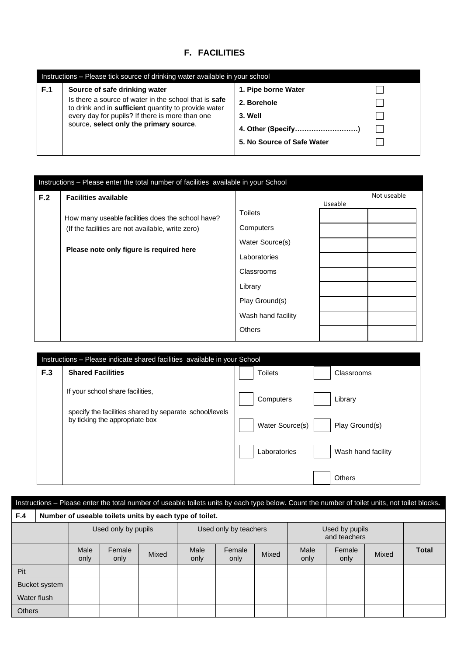## **F. FACILITIES**

|     | Instructions – Please tick source of drinking water available in your school                                  |                            |  |  |  |  |  |  |  |  |
|-----|---------------------------------------------------------------------------------------------------------------|----------------------------|--|--|--|--|--|--|--|--|
| F.1 | Source of safe drinking water                                                                                 | 1. Pipe borne Water        |  |  |  |  |  |  |  |  |
|     | Is there a source of water in the school that is safe<br>to drink and in sufficient quantity to provide water | 2. Borehole                |  |  |  |  |  |  |  |  |
|     | every day for pupils? If there is more than one                                                               | 3. Well                    |  |  |  |  |  |  |  |  |
|     | source, select only the primary source.                                                                       | 4. Other (Specify)         |  |  |  |  |  |  |  |  |
|     |                                                                                                               | 5. No Source of Safe Water |  |  |  |  |  |  |  |  |
|     |                                                                                                               |                            |  |  |  |  |  |  |  |  |

|     | Instructions - Please enter the total number of facilities available in your School |                    |         |             |
|-----|-------------------------------------------------------------------------------------|--------------------|---------|-------------|
| F.2 | <b>Facilities available</b>                                                         |                    |         | Not useable |
|     |                                                                                     |                    | Useable |             |
|     | How many useable facilities does the school have?                                   | <b>Toilets</b>     |         |             |
|     | (If the facilities are not available, write zero)                                   | Computers          |         |             |
|     | Please note only figure is required here                                            | Water Source(s)    |         |             |
|     |                                                                                     | Laboratories       |         |             |
|     |                                                                                     | Classrooms         |         |             |
|     |                                                                                     | Library            |         |             |
|     |                                                                                     | Play Ground(s)     |         |             |
|     |                                                                                     | Wash hand facility |         |             |
|     |                                                                                     | <b>Others</b>      |         |             |

|     | Instructions – Please indicate shared facilities available in your School                 |                 |                    |
|-----|-------------------------------------------------------------------------------------------|-----------------|--------------------|
| F.3 | <b>Shared Facilities</b>                                                                  | <b>Toilets</b>  | Classrooms         |
|     | If your school share facilities,                                                          | Computers       | Library            |
|     | specify the facilities shared by separate school/levels<br>by ticking the appropriate box | Water Source(s) | Play Ground(s)     |
|     |                                                                                           | Laboratories    | Wash hand facility |
|     |                                                                                           |                 | Others             |

| Instructions - Please enter the total number of useable toilets units by each type below. Count the number of toilet units, not toilet blocks. |                                                         |                     |                |       |                       |                |       |                                |                |       |              |
|------------------------------------------------------------------------------------------------------------------------------------------------|---------------------------------------------------------|---------------------|----------------|-------|-----------------------|----------------|-------|--------------------------------|----------------|-------|--------------|
| F.4                                                                                                                                            | Number of useable toilets units by each type of toilet. |                     |                |       |                       |                |       |                                |                |       |              |
|                                                                                                                                                |                                                         | Used only by pupils |                |       | Used only by teachers |                |       | Used by pupils<br>and teachers |                |       |              |
|                                                                                                                                                |                                                         | Male<br>only        | Female<br>only | Mixed | Male<br>only          | Female<br>only | Mixed | Male<br>only                   | Female<br>only | Mixed | <b>Total</b> |
| Pit                                                                                                                                            |                                                         |                     |                |       |                       |                |       |                                |                |       |              |
| <b>Bucket</b> system                                                                                                                           |                                                         |                     |                |       |                       |                |       |                                |                |       |              |
| Water flush                                                                                                                                    |                                                         |                     |                |       |                       |                |       |                                |                |       |              |
| <b>Others</b>                                                                                                                                  |                                                         |                     |                |       |                       |                |       |                                |                |       |              |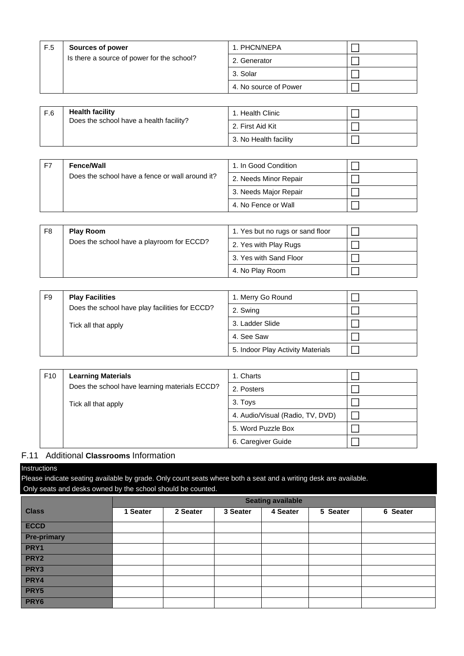| F.5 | <b>Sources of power</b>                    | 1. PHCN/NEPA          |  |
|-----|--------------------------------------------|-----------------------|--|
|     | Is there a source of power for the school? | 2. Generator          |  |
|     |                                            | 3. Solar              |  |
|     |                                            | 4. No source of Power |  |
|     |                                            |                       |  |

|  | <b>Health facility</b><br>F.6<br>Does the school have a health facility? | 1. Health Clinic      |  |  |
|--|--------------------------------------------------------------------------|-----------------------|--|--|
|  |                                                                          | 2. First Aid Kit      |  |  |
|  |                                                                          | 3. No Health facility |  |  |

| F7 | <b>Fence/Wall</b>                               | 1. In Good Condition  |  |
|----|-------------------------------------------------|-----------------------|--|
|    | Does the school have a fence or wall around it? | 2. Needs Minor Repair |  |
|    |                                                 | 3. Needs Major Repair |  |
|    |                                                 | 4. No Fence or Wall   |  |

| F <sub>8</sub> | <b>Play Room</b><br>Does the school have a playroom for ECCD? | 1. Yes but no rugs or sand floor |  |
|----------------|---------------------------------------------------------------|----------------------------------|--|
|                |                                                               | 2. Yes with Play Rugs            |  |
|                |                                                               | 3. Yes with Sand Floor           |  |
|                |                                                               | 4. No Play Room                  |  |

| F9 | <b>Play Facilities</b>                         | 1. Merry Go Round                 |  |
|----|------------------------------------------------|-----------------------------------|--|
|    | Does the school have play facilities for ECCD? | 2. Swing                          |  |
|    | Tick all that apply                            | 3. Ladder Slide                   |  |
|    |                                                | 4. See Saw                        |  |
|    |                                                | 5. Indoor Play Activity Materials |  |

| F <sub>10</sub> | <b>Learning Materials</b>                     | 1. Charts                        |  |
|-----------------|-----------------------------------------------|----------------------------------|--|
|                 | Does the school have learning materials ECCD? | 2. Posters                       |  |
|                 | Tick all that apply                           | 3. Toys                          |  |
|                 |                                               | 4. Audio/Visual (Radio, TV, DVD) |  |
|                 |                                               | 5. Word Puzzle Box               |  |
|                 |                                               | 6. Caregiver Guide               |  |

### F.11 Additional **Classrooms** Information

#### Instructions

Please indicate seating available by grade. Only count seats where both a seat and a writing desk are available. Only seats and desks owned by the school should be counted.

|                    | <b>Seating available</b> |          |          |          |          |          |  |  |  |
|--------------------|--------------------------|----------|----------|----------|----------|----------|--|--|--|
| <b>Class</b>       | 1 Seater                 | 2 Seater | 3 Seater | 4 Seater | 5 Seater | 6 Seater |  |  |  |
| <b>ECCD</b>        |                          |          |          |          |          |          |  |  |  |
| <b>Pre-primary</b> |                          |          |          |          |          |          |  |  |  |
| PRY1               |                          |          |          |          |          |          |  |  |  |
| PRY <sub>2</sub>   |                          |          |          |          |          |          |  |  |  |
| PRY3               |                          |          |          |          |          |          |  |  |  |
| PRY4               |                          |          |          |          |          |          |  |  |  |
| PRY5               |                          |          |          |          |          |          |  |  |  |
| PRY6               |                          |          |          |          |          |          |  |  |  |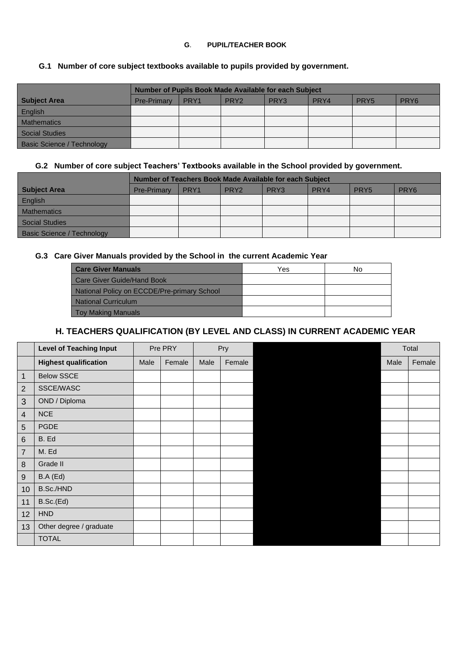### **G**. **PUPIL/TEACHER BOOK**

## **G.1 Number of core subject textbooks available to pupils provided by government.**

|                                   | Number of Pupils Book Made Available for each Subject |                  |                  |                  |      |                  |                  |  |  |
|-----------------------------------|-------------------------------------------------------|------------------|------------------|------------------|------|------------------|------------------|--|--|
| <b>Subject Area</b>               | <b>Pre-Primary</b>                                    | PRY <sub>1</sub> | PRY <sub>2</sub> | PRY <sub>3</sub> | PRY4 | PRY <sub>5</sub> | PRY <sub>6</sub> |  |  |
| English                           |                                                       |                  |                  |                  |      |                  |                  |  |  |
| <b>Mathematics</b>                |                                                       |                  |                  |                  |      |                  |                  |  |  |
| Social Studies                    |                                                       |                  |                  |                  |      |                  |                  |  |  |
| <b>Basic Science / Technology</b> |                                                       |                  |                  |                  |      |                  |                  |  |  |

### **G.2 Number of core subject Teachers' Textbooks available in the School provided by government.**

|                                   | Number of Teachers Book Made Available for each Subject |      |                  |                  |      |                  |                  |  |  |  |
|-----------------------------------|---------------------------------------------------------|------|------------------|------------------|------|------------------|------------------|--|--|--|
| Subject Area                      | <b>Pre-Primary</b>                                      | PRY1 | PRY <sub>2</sub> | PRY <sub>3</sub> | PRY4 | PRY <sub>5</sub> | PRY <sub>6</sub> |  |  |  |
| English                           |                                                         |      |                  |                  |      |                  |                  |  |  |  |
| <b>Mathematics</b>                |                                                         |      |                  |                  |      |                  |                  |  |  |  |
| Social Studies                    |                                                         |      |                  |                  |      |                  |                  |  |  |  |
| <b>Basic Science / Technology</b> |                                                         |      |                  |                  |      |                  |                  |  |  |  |

### **G.3 Care Giver Manuals provided by the School in the current Academic Year**

| <b>Care Giver Manuals</b>                   | Yes | No |
|---------------------------------------------|-----|----|
| <b>Care Giver Guide/Hand Book</b>           |     |    |
| National Policy on ECCDE/Pre-primary School |     |    |
| <b>National Curriculum</b>                  |     |    |
| <b>Toy Making Manuals</b>                   |     |    |

## **H. TEACHERS QUALIFICATION (BY LEVEL AND CLASS) IN CURRENT ACADEMIC YEAR**

|                  | <b>Level of Teaching Input</b> | Pre PRY |        | Pry  |        |      | Total  |
|------------------|--------------------------------|---------|--------|------|--------|------|--------|
|                  | <b>Highest qualification</b>   | Male    | Female | Male | Female | Male | Female |
| $\mathbf 1$      | <b>Below SSCE</b>              |         |        |      |        |      |        |
| $\overline{2}$   | SSCE/WASC                      |         |        |      |        |      |        |
| 3                | OND / Diploma                  |         |        |      |        |      |        |
| $\overline{4}$   | <b>NCE</b>                     |         |        |      |        |      |        |
| $5\phantom{.}$   | <b>PGDE</b>                    |         |        |      |        |      |        |
| $\,6\,$          | B. Ed                          |         |        |      |        |      |        |
| $\overline{7}$   | M. Ed                          |         |        |      |        |      |        |
| 8                | Grade II                       |         |        |      |        |      |        |
| $\boldsymbol{9}$ | B.A(Ed)                        |         |        |      |        |      |        |
| 10               | B.Sc./HND                      |         |        |      |        |      |        |
| 11               | B.Sc.(Ed)                      |         |        |      |        |      |        |
| 12               | <b>HND</b>                     |         |        |      |        |      |        |
| 13               | Other degree / graduate        |         |        |      |        |      |        |
|                  | <b>TOTAL</b>                   |         |        |      |        |      |        |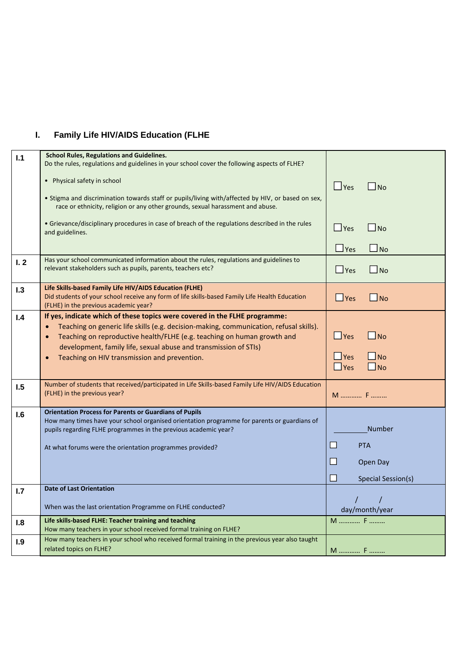# **I. Family Life HIV/AIDS Education (FLHE**

| 1.1 | <b>School Rules, Regulations and Guidelines.</b><br>Do the rules, regulations and guidelines in your school cover the following aspects of FLHE?                                                                                                                                                                                                                                 |                                                                                                |
|-----|----------------------------------------------------------------------------------------------------------------------------------------------------------------------------------------------------------------------------------------------------------------------------------------------------------------------------------------------------------------------------------|------------------------------------------------------------------------------------------------|
|     | Physical safety in school                                                                                                                                                                                                                                                                                                                                                        | $\Box$ Yes<br>$\Box$ No                                                                        |
|     | . Stigma and discrimination towards staff or pupils/living with/affected by HIV, or based on sex,<br>race or ethnicity, religion or any other grounds, sexual harassment and abuse.                                                                                                                                                                                              |                                                                                                |
|     | • Grievance/disciplinary procedures in case of breach of the regulations described in the rules<br>and guidelines.                                                                                                                                                                                                                                                               | $\Box$ No<br>$\Box$ Yes                                                                        |
|     |                                                                                                                                                                                                                                                                                                                                                                                  | $\square$ No<br>$\Box$ Yes                                                                     |
| I.2 | Has your school communicated information about the rules, regulations and guidelines to<br>relevant stakeholders such as pupils, parents, teachers etc?                                                                                                                                                                                                                          | $\Box$ No<br>$\Box$ Yes                                                                        |
| 1.3 | Life Skills-based Family Life HIV/AIDS Education (FLHE)<br>Did students of your school receive any form of life skills-based Family Life Health Education<br>(FLHE) in the previous academic year?                                                                                                                                                                               | $\Box$ No<br>$\Box$ Yes                                                                        |
| I.4 | If yes, indicate which of these topics were covered in the FLHE programme:<br>Teaching on generic life skills (e.g. decision-making, communication, refusal skills).<br>Teaching on reproductive health/FLHE (e.g. teaching on human growth and<br>$\bullet$<br>development, family life, sexual abuse and transmission of STIs)<br>Teaching on HIV transmission and prevention. | $\Box$ No<br>$\Box$ Yes<br>$\Box$ Yes<br>$\Box$ No<br>$\Box$ No<br>$\Box$ Yes                  |
| 1.5 | Number of students that received/participated in Life Skills-based Family Life HIV/AIDS Education<br>(FLHE) in the previous year?                                                                                                                                                                                                                                                | M  F                                                                                           |
| 1.6 | <b>Orientation Process for Parents or Guardians of Pupils</b><br>How many times have your school organised orientation programme for parents or guardians of<br>pupils regarding FLHE programmes in the previous academic year?<br>At what forums were the orientation programmes provided?                                                                                      | <b>Number</b><br><b>All</b><br><b>PTA</b><br><b>COL</b><br>Open Day<br>H<br>Special Session(s) |
| 1.7 | Date of Last Orientation                                                                                                                                                                                                                                                                                                                                                         |                                                                                                |
|     | When was the last orientation Programme on FLHE conducted?                                                                                                                                                                                                                                                                                                                       | day/month/year                                                                                 |
| 1.8 | Life skills-based FLHE: Teacher training and teaching<br>How many teachers in your school received formal training on FLHE?                                                                                                                                                                                                                                                      | M  F                                                                                           |
| 1.9 | How many teachers in your school who received formal training in the previous year also taught<br>related topics on FLHE?                                                                                                                                                                                                                                                        | M  F                                                                                           |
|     |                                                                                                                                                                                                                                                                                                                                                                                  |                                                                                                |